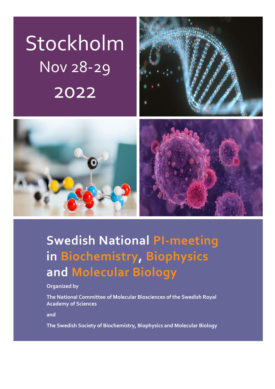# Stockholm Nov 28-29 2022





# **Swedish National PI-meeting in Biochemistry, Biophysics and Molecular Biology**

**Organized by** 

**The National Committee of Molecular Biosciences of the Swedish Royal Academy of Sciences** 

**and** 

**The Swedish Society of Biochemistry, Biophysics and Molecular Biology**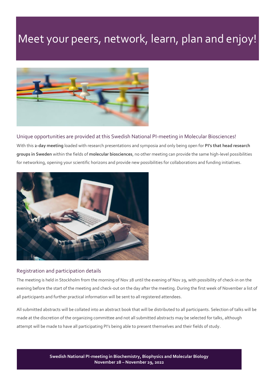### Meet your peers, network, learn, plan and enjoy!



Unique opportunities are provided at this Swedish National PI-meeting in Molecular Biosciences! With this **2-day meeting** loaded with research presentations and symposia and only being open for **PI's that head research groups in Sweden** within the fields of **molecular biosciences**, no other meeting can provide the same high-level possibilities for networking, opening your scientific horizons and provide new possibilities for collaborations and funding initiatives.



#### Registration and participation details

The meeting is held in Stockholm from the morning of Nov 28 until the evening of Nov 29, with possibility of check-in on the evening before the start of the meeting and check-out on the day after the meeting. During the first week of November a list of all participants and further practical information will be sent to all registered attendees.

All submitted abstracts will be collated into an abstract book that will be distributed to all participants. Selection of talks will be made at the discretion of the organizing committee and not all submitted abstracts may be selected for talks, although attempt will be made to have all participating PI's being able to present themselves and their fields of study.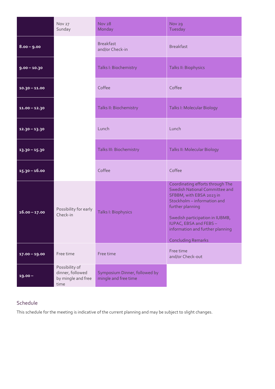|                 | Nov 27<br>Sunday                                                 | <b>Nov 28</b><br>Monday                               | Nov <sub>29</sub><br>Tuesday                                                                                                                                                                                                                                                          |
|-----------------|------------------------------------------------------------------|-------------------------------------------------------|---------------------------------------------------------------------------------------------------------------------------------------------------------------------------------------------------------------------------------------------------------------------------------------|
| $8.00 - 9.00$   |                                                                  | <b>Breakfast</b><br>and/or Check-in                   | <b>Breakfast</b>                                                                                                                                                                                                                                                                      |
| $9.00 - 10.30$  |                                                                  | Talks I: Biochemistry                                 | Talks II: Biophysics                                                                                                                                                                                                                                                                  |
| $10.30 - 11.00$ |                                                                  | Coffee                                                | Coffee                                                                                                                                                                                                                                                                                |
| $11.00 - 12.30$ |                                                                  | Talks II: Biochemistry                                | Talks I: Molecular Biology                                                                                                                                                                                                                                                            |
| $12.30 - 13.30$ |                                                                  | Lunch                                                 | Lunch                                                                                                                                                                                                                                                                                 |
| $13.30 - 15.30$ |                                                                  | <b>Talks III: Biochemistry</b>                        | Talks II: Molecular Biology                                                                                                                                                                                                                                                           |
| $15.30 - 16.00$ |                                                                  | Coffee                                                | Coffee                                                                                                                                                                                                                                                                                |
| $16.00 - 17.00$ | Possibility for early<br>Check-in                                | Talks I: Biophysics                                   | Coordinating efforts through The<br><b>Swedish National Committee and</b><br>SFBBM, with EBSA 2023 in<br>Stockholm - information and<br>further planning<br>Swedish participation in IUBMB,<br>IUPAC, EBSA and FEBS-<br>information and further planning<br><b>Concluding Remarks</b> |
| $17.00 - 19.00$ | Free time                                                        | Free time                                             | Free time<br>and/or Check-out                                                                                                                                                                                                                                                         |
| $19.00 -$       | Possibility of<br>dinner, followed<br>by mingle and free<br>time | Symposium Dinner, followed by<br>mingle and free time |                                                                                                                                                                                                                                                                                       |

### Schedule

This schedule for the meeting is indicative of the current planning and may be subject to slight changes.